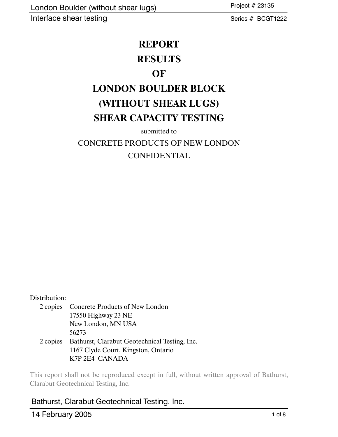Project # 23135

Series # BCGT1222

## **REPORT**

## **RESULTS**

## **OF**

# **LONDON BOULDER BLOCK (WITHOUT SHEAR LUGS) SHEAR CAPACITY TESTING**

submitted to

## CONCRETE PRODUCTS OF NEW LONDON CONFIDENTIAL

### Distribution:

2 copies Concrete Products of New London 17550 Highway 23 NE New London, MN USA 56273 2 copies Bathurst, Clarabut Geotechnical Testing, Inc. 1167 Clyde Court, Kingston, Ontario K7P 2E4 CANADA

This report shall not be reproduced except in full, without written approval of Bathurst, Clarabut Geotechnical Testing, Inc.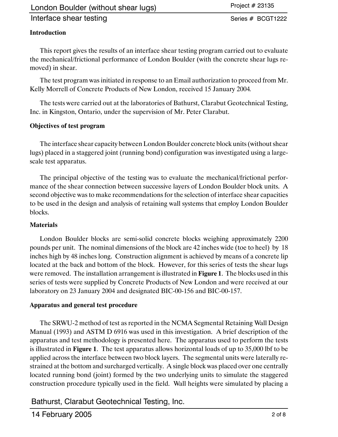## London Boulder (without shear lugs)

### Interface shear testing

Project # 23135

Series # BCGT1222

#### **Introduction**

This report gives the results of an interface shear testing program carried out to evaluate the mechanical/frictional performance of London Boulder (with the concrete shear lugs removed) in shear.

The test program was initiated in response to an Email authorization to proceed from Mr. Kelly Morrell of Concrete Products of New London, received 15 January 2004*.*

The tests were carried out at the laboratories of Bathurst, Clarabut Geotechnical Testing, Inc. in Kingston, Ontario, under the supervision of Mr. Peter Clarabut.

#### **Objectives of test program**

The interface shear capacity between London Boulder concrete block units (without shear lugs) placed in a staggered joint (running bond) configuration was investigated using a largescale test apparatus.

The principal objective of the testing was to evaluate the mechanical/frictional performance of the shear connection between successive layers of London Boulder block units. A second objective was to make recommendations for the selection of interface shear capacities to be used in the design and analysis of retaining wall systems that employ London Boulder blocks.

#### **Materials**

London Boulder blocks are semi-solid concrete blocks weighing approximately 2200 pounds per unit. The nominal dimensions of the block are 42 inches wide (toe to heel) by 18 inches high by 48 inches long. Construction alignment is achieved by means of a concrete lip located at the back and bottom of the block. However, for this series of tests the shear lugs were removed. The installation arrangement is illustrated in **Figure 1**. The blocks used in this series of tests were supplied by Concrete Products of New London and were received at our laboratory on 23 January 2004 and designated BIC-00-156 and BIC-00-157.

#### **Apparatus and general test procedure**

The SRWU-2 method of test as reported in the NCMA Segmental Retaining Wall Design Manual (1993) and ASTM D 6916 was used in this investigation. A brief description of the apparatus and test methodology is presented here. The apparatus used to perform the tests is illustrated in **Figure 1**. The test apparatus allows horizontal loads of up to 35,000 lbf to be applied across the interface between two block layers. The segmental units were laterally restrained at the bottom and surcharged vertically. A single block was placed over one centrally located running bond (joint) formed by the two underlying units to simulate the staggered construction procedure typically used in the field. Wall heights were simulated by placing a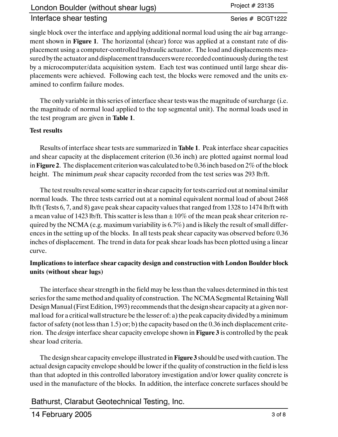Project # 23135

Series # BCGT1222

single block over the interface and applying additional normal load using the air bag arrangement shown in **Figure 1**. The horizontal (shear) force was applied at a constant rate of displacement using a computer-controlled hydraulic actuator. The load and displacements measured by the actuator and displacement transducers were recorded continuously during the test by a microcomputer/data acquisition system. Each test was continued until large shear displacements were achieved. Following each test, the blocks were removed and the units examined to confirm failure modes.

The only variable in this series of interface shear tests was the magnitude of surcharge (i.e. the magnitude of normal load applied to the top segmental unit). The normal loads used in the test program are given in **Table 1**.

### **Test results**

Results of interface shear tests are summarized in **Table 1**. Peak interface shear capacities and shear capacity at the displacement criterion (0.36 inch) are plotted against normal load in **Figure 2**. The displacement criterion was calculated to be 0.36 inch based on 2% of the block height. The minimum *peak* shear capacity recorded from the test series was 293 lb/ft.

The test results reveal some scatter in shear capacity for tests carried out at nominal similar normal loads. The three tests carried out at a nominal equivalent normal load of about 2468 lb/ft (Tests 6, 7, and 8) gave peak shear capacity values that ranged from 1328 to 1474 lb/ft with a mean value of 1423 lb/ft. This scatter is less than  $\pm 10\%$  of the mean peak shear criterion required by the NCMA (e.g. maximum variability is 6.7%) and is likely the result of small differences in the setting up of the blocks. In all tests peak shear capacity was observed before 0.36 inches of displacement. The trend in data for peak shear loads has been plotted using a linear curve.

### **Implications to interface shear capacity design and construction with London Boulder block units (without shear lugs)**

The interface shear strength in the field may be less than the values determined in this test series for the same method and quality of construction. The NCMA Segmental RetainingWall Design Manual (First Edition, 1993) recommends that the design shear capacity at a given normal load for a critical wall structure be the lesser of: a) the peak capacity divided by a minimum factor of safety (not less than 1.5) or; b) the capacity based on the 0.36 inch displacement criterion. The *design* interface shear capacity envelope shown in **Figure 3** is controlled by the peak shear load criteria.

The design shear capacity envelope illustrated in **Figure 3** should be used with caution. The actual design capacity envelope should be lower if the quality of construction in the field is less than that adopted in this controlled laboratory investigation and/or lower quality concrete is used in the manufacture of the blocks. In addition, the interface concrete surfaces should be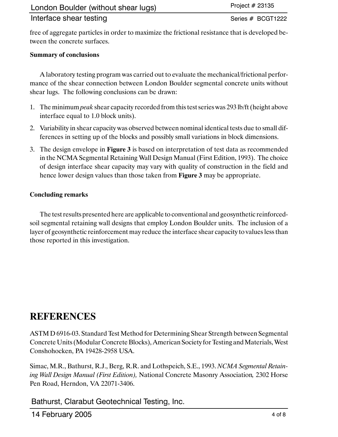Series # BCGT1222

free of aggregate particles in order to maximize the frictional resistance that is developed between the concrete surfaces.

## **Summary of conclusions**

A laboratory testing program was carried out to evaluate the mechanical/frictional performance of the shear connection between London Boulder segmental concrete units without shear lugs. The following conclusions can be drawn:

- 1. The minimum *peak* shear capacity recorded from this test series was 293 lb/ft (height above interface equal to 1.0 block units).
- 2. Variability in shear capacity was observed between nominal identical tests due to small differences in setting up of the blocks and possibly small variations in block dimensions.
- 3. The design envelope in **Figure 3** is based on interpretation of test data as recommended in the NCMA Segmental Retaining Wall Design Manual (First Edition, 1993). The choice of design interface shear capacity may vary with quality of construction in the field and hence lower design values than those taken from **Figure 3** may be appropriate.

## **Concluding remarks**

The test results presented here are applicable to conventional and geosynthetic reinforcedsoil segmental retaining wall designs that employ London Boulder units. The inclusion of a layer of geosynthetic reinforcement may reduce the interface shear capacity to values less than those reported in this investigation.

## **REFERENCES**

ASTM D 6916-03. Standard Test Method for Determining Shear Strength between Segmental Concrete Units (Modular Concrete Blocks), American Society for Testing and Materials, West Conshohocken, PA 19428-2958 USA.

Simac, M.R., Bathurst, R.J., Berg, R.R. and Lothspeich, S.E., 1993. *NCMA Segmental Retaining Wall Design Manual (First Edition),* National Concrete Masonry Association*,* 2302 Horse Pen Road, Herndon, VA 22071-3406.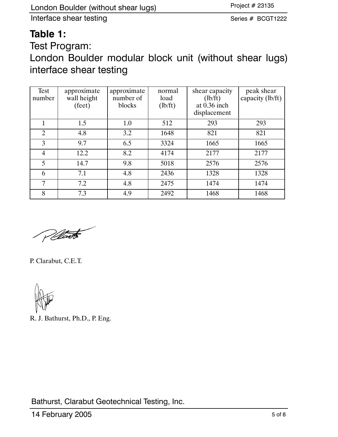Series # BCGT1222

## **Table 1:**

Test Program:

London Boulder modular block unit (without shear lugs) interface shear testing

| Test<br>number | approximate<br>wall height<br>(feet) | approximate<br>number of<br>blocks | normal<br>load<br>(lb/ft) | shear capacity<br>(lb/ft)<br>at $0.36$ inch<br>displacement | peak shear<br>capacity (lb/ft) |
|----------------|--------------------------------------|------------------------------------|---------------------------|-------------------------------------------------------------|--------------------------------|
|                | 1.5                                  | 1.0                                | 512                       | 293                                                         | 293                            |
| 2              | 4.8                                  | 3.2                                | 1648                      | 821                                                         | 821                            |
| 3              | 9.7                                  | 6.5                                | 3324                      | 1665                                                        | 1665                           |
| 4              | 12.2                                 | 8.2                                | 4174                      | 2177                                                        | 2177                           |
| 5              | 14.7                                 | 9.8                                | 5018                      | 2576                                                        | 2576                           |
| 6              | 7.1                                  | 4.8                                | 2436                      | 1328                                                        | 1328                           |
| 7              | 7.2                                  | 4.8                                | 2475                      | 1474                                                        | 1474                           |
| 8              | 7.3                                  | 4.9                                | 2492                      | 1468                                                        | 1468                           |

Plant

P. Clarabut, C.E.T.

R. J. Bathurst, Ph.D., P. Eng.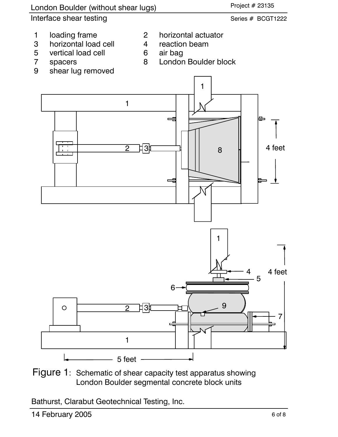

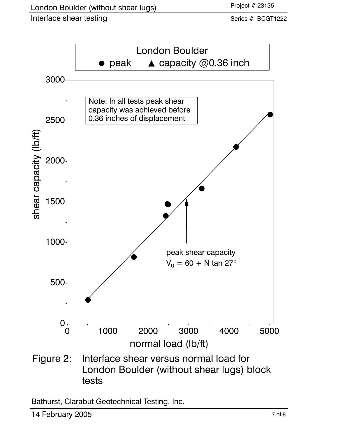Series # BCGT1222